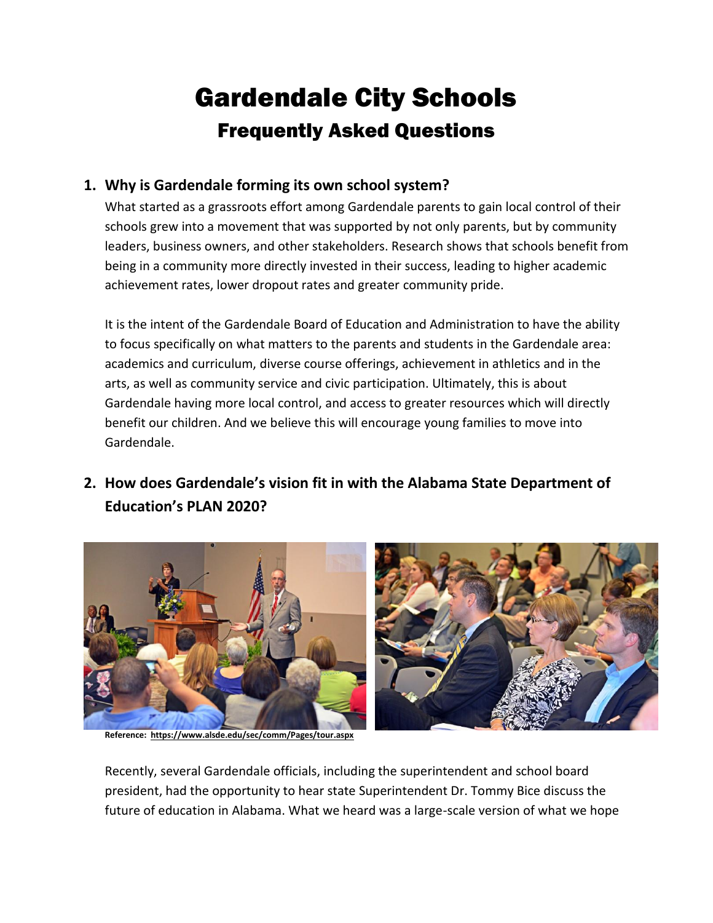# Gardendale City Schools Frequently Asked Questions

### **1. Why is Gardendale forming its own school system?**

What started as a grassroots effort among Gardendale parents to gain local control of their schools grew into a movement that was supported by not only parents, but by community leaders, business owners, and other stakeholders. Research shows that schools benefit from being in a community more directly invested in their success, leading to higher academic achievement rates, lower dropout rates and greater community pride.

It is the intent of the Gardendale Board of Education and Administration to have the ability to focus specifically on what matters to the parents and students in the Gardendale area: academics and curriculum, diverse course offerings, achievement in athletics and in the arts, as well as community service and civic participation. Ultimately, this is about Gardendale having more local control, and access to greater resources which will directly benefit our children. And we believe this will encourage young families to move into Gardendale.

# **2. How does Gardendale's vision fit in with the Alabama State Department of Education's PLAN 2020?**



**Reference: https://www.alsde.edu/sec/comm/Pages/tour.aspx**

Recently, several Gardendale officials, including the superintendent and school board president, had the opportunity to hear state Superintendent Dr. Tommy Bice discuss the future of education in Alabama. What we heard was a large-scale version of what we hope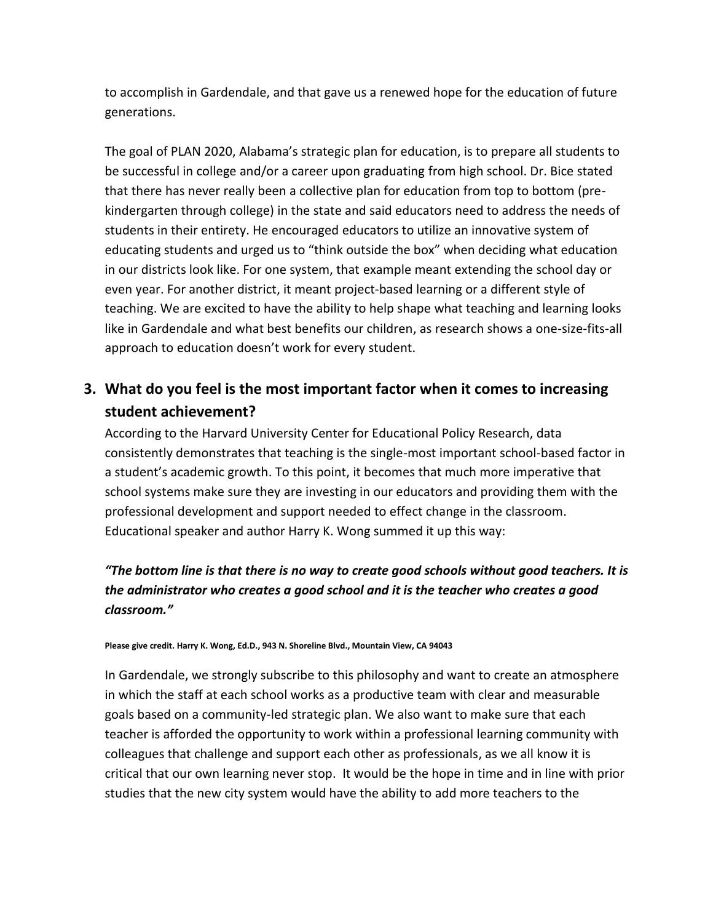to accomplish in Gardendale, and that gave us a renewed hope for the education of future generations.

The goal of PLAN 2020, Alabama's strategic plan for education, is to prepare all students to be successful in college and/or a career upon graduating from high school. Dr. Bice stated that there has never really been a collective plan for education from top to bottom (prekindergarten through college) in the state and said educators need to address the needs of students in their entirety. He encouraged educators to utilize an innovative system of educating students and urged us to "think outside the box" when deciding what education in our districts look like. For one system, that example meant extending the school day or even year. For another district, it meant project-based learning or a different style of teaching. We are excited to have the ability to help shape what teaching and learning looks like in Gardendale and what best benefits our children, as research shows a one-size-fits-all approach to education doesn't work for every student.

# **3. What do you feel is the most important factor when it comes to increasing student achievement?**

According to the Harvard University Center for Educational Policy Research, data consistently demonstrates that teaching is the single-most important school-based factor in a student's academic growth. To this point, it becomes that much more imperative that school systems make sure they are investing in our educators and providing them with the professional development and support needed to effect change in the classroom. Educational speaker and author Harry K. Wong summed it up this way:

#### *"The bottom line is that there is no way to create good schools without good teachers. It is the administrator who creates a good school and it is the teacher who creates a good classroom."*

#### **Please give credit. Harry K. Wong, Ed.D., 943 N. Shoreline Blvd., Mountain View, CA 94043**

In Gardendale, we strongly subscribe to this philosophy and want to create an atmosphere in which the staff at each school works as a productive team with clear and measurable goals based on a community-led strategic plan. We also want to make sure that each teacher is afforded the opportunity to work within a professional learning community with colleagues that challenge and support each other as professionals, as we all know it is critical that our own learning never stop. It would be the hope in time and in line with prior studies that the new city system would have the ability to add more teachers to the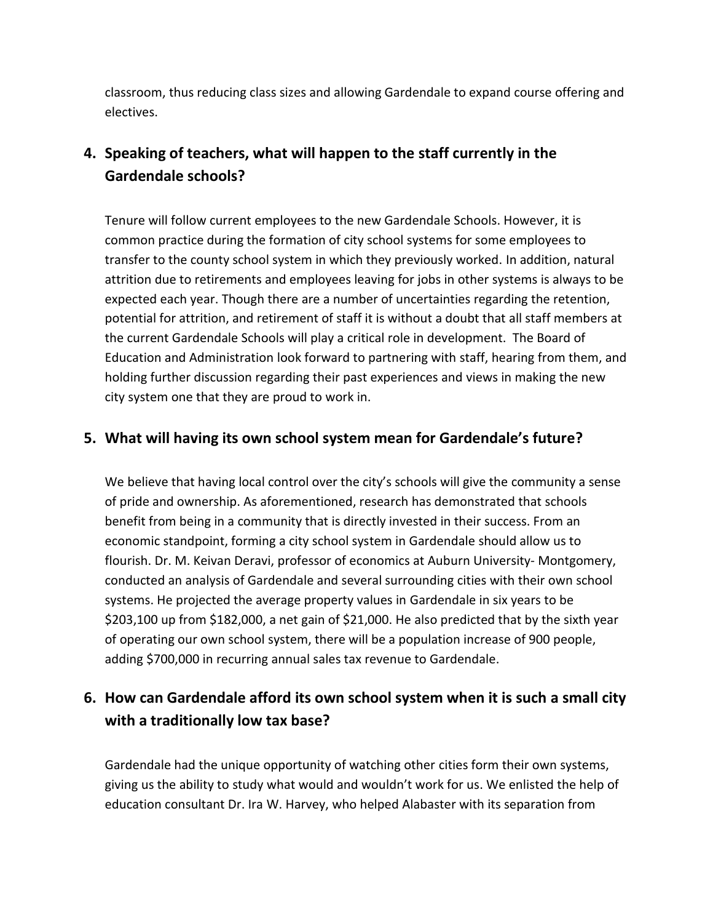classroom, thus reducing class sizes and allowing Gardendale to expand course offering and electives.

# **4. Speaking of teachers, what will happen to the staff currently in the Gardendale schools?**

Tenure will follow current employees to the new Gardendale Schools. However, it is common practice during the formation of city school systems for some employees to transfer to the county school system in which they previously worked. In addition, natural attrition due to retirements and employees leaving for jobs in other systems is always to be expected each year. Though there are a number of uncertainties regarding the retention, potential for attrition, and retirement of staff it is without a doubt that all staff members at the current Gardendale Schools will play a critical role in development. The Board of Education and Administration look forward to partnering with staff, hearing from them, and holding further discussion regarding their past experiences and views in making the new city system one that they are proud to work in.

#### **5. What will having its own school system mean for Gardendale's future?**

We believe that having local control over the city's schools will give the community a sense of pride and ownership. As aforementioned, research has demonstrated that schools benefit from being in a community that is directly invested in their success. From an economic standpoint, forming a city school system in Gardendale should allow us to flourish. Dr. M. Keivan Deravi, professor of economics at Auburn University- Montgomery, conducted an analysis of Gardendale and several surrounding cities with their own school systems. He projected the average property values in Gardendale in six years to be \$203,100 up from \$182,000, a net gain of \$21,000. He also predicted that by the sixth year of operating our own school system, there will be a population increase of 900 people, adding \$700,000 in recurring annual sales tax revenue to Gardendale.

## **6. How can Gardendale afford its own school system when it is such a small city with a traditionally low tax base?**

Gardendale had the unique opportunity of watching other cities form their own systems, giving us the ability to study what would and wouldn't work for us. We enlisted the help of education consultant Dr. Ira W. Harvey, who helped Alabaster with its separation from